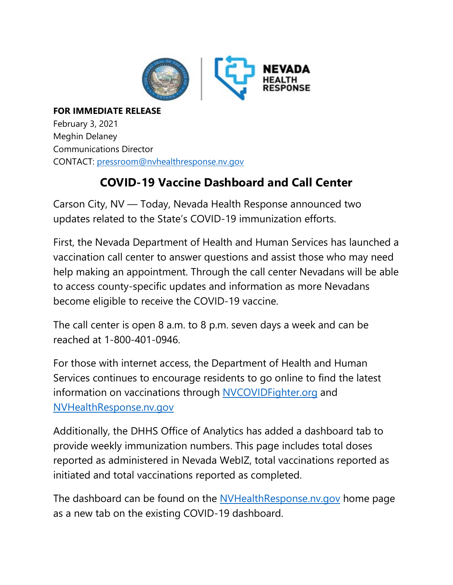

**FOR IMMEDIATE RELEASE** February 3, 2021 Meghin Delaney Communications Director CONTACT: [pressroom@nvhealthresponse.nv.gov](mailto:pressroom@nvhealthresponse.nv.gov)

## **COVID-19 Vaccine Dashboard and Call Center**

Carson City, NV — Today, Nevada Health Response announced two updates related to the State's COVID-19 immunization efforts.

First, the Nevada Department of Health and Human Services has launched a vaccination call center to answer questions and assist those who may need help making an appointment. Through the call center Nevadans will be able to access county-specific updates and information as more Nevadans become eligible to receive the COVID-19 vaccine.

The call center is open 8 a.m. to 8 p.m. seven days a week and can be reached at 1-800-401-0946.

For those with internet access, the Department of Health and Human Services continues to encourage residents to go online to find the latest information on vaccinations through [NVCOVIDFighter.org](https://www.immunizenevada.org/nv-covid-fighter) and [NVHealthResponse.nv.gov](https://nvhealthresponse.nv.gov/)

Additionally, the DHHS Office of Analytics has added a dashboard tab to provide weekly immunization numbers. This page includes total doses reported as administered in Nevada WebIZ, total vaccinations reported as initiated and total vaccinations reported as completed.

The dashboard can be found on the [NVHealthResponse.nv.gov](https://nvhealthresponse.nv.gov/) home page as a new tab on the existing COVID-19 dashboard.